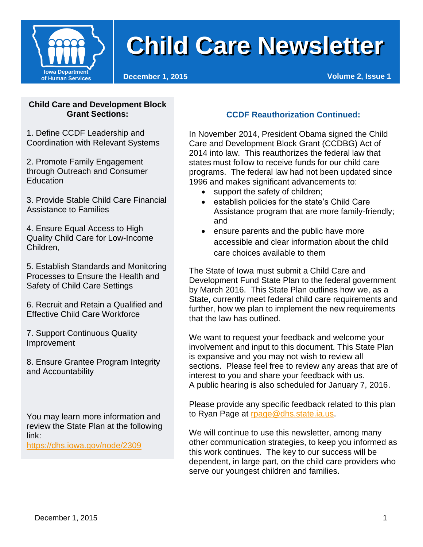

### **Can I smoke at my home? Child Care Newsletter Child Care Newsletter**

#### **Child Care and Development Block Grant Sections:**

1. Define CCDF Leadership and Coordination with Relevant Systems

2. Promote Family Engagement through Outreach and Consumer **Education** 

3. Provide Stable Child Care Financial Assistance to Families

4. Ensure Equal Access to High Quality Child Care for Low-Income Children,

5. Establish Standards and Monitoring Processes to Ensure the Health and Safety of Child Care Settings

6. Recruit and Retain a Qualified and Effective Child Care Workforce

7. Support Continuous Quality Improvement

8. Ensure Grantee Program Integrity and Accountability

You may learn more information and review the State Plan at the following link:

<https://dhs.iowa.gov/node/2309>

#### **CCDF Reauthorization Continued:**

In November 2014, President Obama signed the Child Care and Development Block Grant (CCDBG) Act of 2014 into law. This reauthorizes the federal law that states must follow to receive funds for our child care programs. The federal law had not been updated since 1996 and makes significant advancements to:

- support the safety of children;
- establish policies for the state's Child Care Assistance program that are more family-friendly; and
- ensure parents and the public have more accessible and clear information about the child care choices available to them

The State of Iowa must submit a Child Care and Development Fund State Plan to the federal government by March 2016. This State Plan outlines how we, as a State, currently meet federal child care requirements and further, how we plan to implement the new requirements that the law has outlined.

We want to request your feedback and welcome your involvement and input to this document. This State Plan is expansive and you may not wish to review all sections. Please feel free to review any areas that are of interest to you and share your feedback with us. A public hearing is also scheduled for January 7, 2016.

Please provide any specific feedback related to this plan to Ryan Page at [rpage@dhs.state.ia.us.](mailto:rpage@dhs.state.ia.us)

We will continue to use this newsletter, among many other communication strategies, to keep you informed as this work continues. The key to our success will be dependent, in large part, on the child care providers who serve our youngest children and families.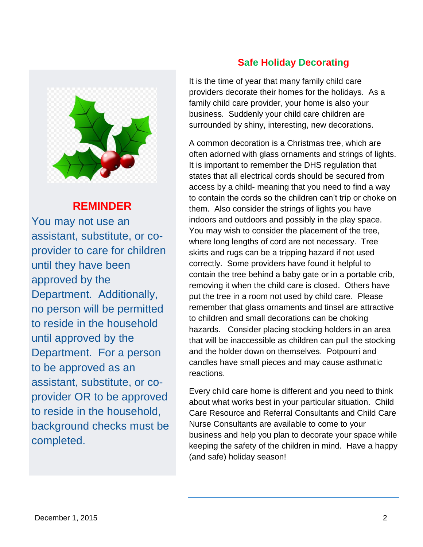

#### **REMINDER**

 You may not use an assistant, substitute, or coprovider to care for children until they have been approved by the Department. Additionally, no person will be permitted to reside in the household until approved by the Department. For a person to be approved as an assistant, substitute, or coprovider OR to be approved to reside in the household, background checks must be completed.

#### **Safe Holiday Decorating**

It is the time of year that many family child care providers decorate their homes for the holidays. As a family child care provider, your home is also your business. Suddenly your child care children are surrounded by shiny, interesting, new decorations.

A common decoration is a Christmas tree, which are often adorned with glass ornaments and strings of lights. It is important to remember the DHS regulation that states that all electrical cords should be secured from access by a child- meaning that you need to find a way to contain the cords so the children can't trip or choke on them. Also consider the strings of lights you have indoors and outdoors and possibly in the play space. You may wish to consider the placement of the tree, where long lengths of cord are not necessary. Tree skirts and rugs can be a tripping hazard if not used correctly. Some providers have found it helpful to contain the tree behind a baby gate or in a portable crib, removing it when the child care is closed. Others have put the tree in a room not used by child care. Please remember that glass ornaments and tinsel are attractive to children and small decorations can be choking hazards. Consider placing stocking holders in an area that will be inaccessible as children can pull the stocking and the holder down on themselves. Potpourri and candles have small pieces and may cause asthmatic reactions.

Every child care home is different and you need to think about what works best in your particular situation. Child Care Resource and Referral Consultants and Child Care Nurse Consultants are available to come to your business and help you plan to decorate your space while keeping the safety of the children in mind. Have a happy (and safe) holiday season!